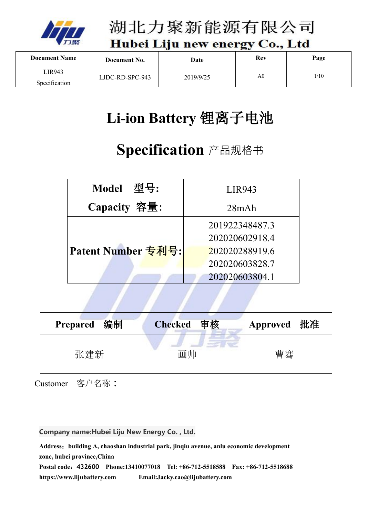

湖北力聚新能源有限公司

Hubei Liju new energy Co., Ltd

| <b>Document Name</b> | Document No.    | Date      | Rev            | Page |  |
|----------------------|-----------------|-----------|----------------|------|--|
| LIR943               |                 |           | A <sub>0</sub> | 1/10 |  |
| Specification        | LJDC-RD-SPC-943 | 2019/9/25 |                |      |  |

# **Li-ion Battery** 锂离子电池

# **Specification** 产品规格书

| Model 型号:          | <b>LIR943</b>  |
|--------------------|----------------|
| Capacity 容量:       | 28mAh          |
|                    | 201922348487.3 |
|                    | 202020602918.4 |
| Patent Number 专利号: | 202020288919.6 |
|                    | 202020603828.7 |
|                    | 202020603804.1 |

| 编制              | 审核             | 批准              |
|-----------------|----------------|-----------------|
| <b>Prepared</b> | <b>Checked</b> | <b>Approved</b> |
| 张建新             | 画帅             | 曹骞              |

and the state of the state of the state of

Customer 客户名称**:**

**Company name:Hubei Liju New Energy Co. , Ltd.**

**Address**:**building A, chaoshan industrial park, jinqiu avenue, anlu economic development zone, hubei province,China**

**Postal code**:**[432600](http://waiter.www.so.com/postcode/s?q=432600) Phone:13410077018 Tel: +86-712-5518588 Fax: +86-712-5518688 <https://www.lijubattery.com> Email:Jacky.cao@lijubattery.com**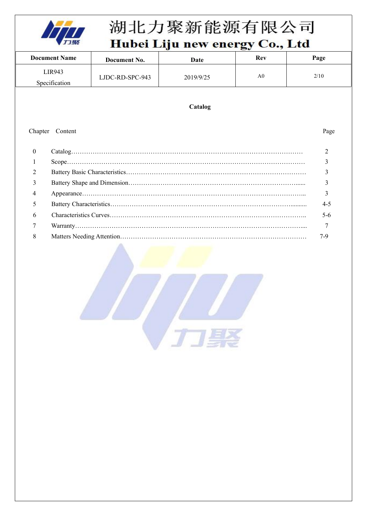

# 湖北力聚新能源有限公司

Hubei Liju new energy Co., Ltd

|                | <b>Document Name</b> | Document No.    | Date      | Rev            | Page           |
|----------------|----------------------|-----------------|-----------|----------------|----------------|
|                | <b>LIR943</b>        | LJDC-RD-SPC-943 | 2019/9/25 | A <sub>0</sub> | 2/10           |
|                | Specification        |                 |           |                |                |
|                |                      |                 |           |                |                |
|                |                      |                 | Catalog   |                |                |
|                |                      |                 |           |                |                |
|                | Chapter Content      |                 |           |                | Page           |
|                |                      |                 |           |                |                |
| $\mathbf{0}$   |                      |                 |           |                | $\overline{2}$ |
|                |                      |                 |           |                | 3              |
| $\overline{2}$ |                      |                 |           |                | 3              |
| 3              |                      |                 |           |                | 3              |
| 4              |                      |                 |           |                | 3              |
| 5              |                      |                 |           |                |                |
| 6              |                      |                 |           |                |                |
|                |                      |                 |           |                |                |
| 8              |                      |                 |           |                | $7-9$          |

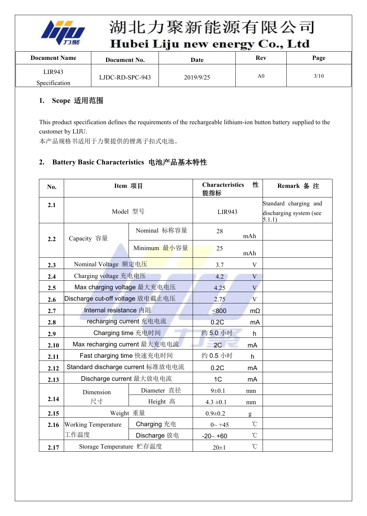

| - 이 문제 외투어, 전 사람은 일을 만들어 가지고 있다. 한 번에 들어가기 위해 보내 수 있는 것 같은 것 같은 것 같아.<br>.<br>$-$<br>a shekarar 2000 da wasan ƙwallon ƙafa ta ƙasar Ingila. |                 |             |     |      |  |
|---------------------------------------------------------------------------------------------------------------------------------------------|-----------------|-------------|-----|------|--|
| <b>Document Name</b>                                                                                                                        | Document No.    | <b>Date</b> | Rev | Page |  |
| LIR943                                                                                                                                      |                 |             | A0  | 3/10 |  |
| Specification                                                                                                                               | LJDC-RD-SPC-943 | 2019/9/25   |     |      |  |

#### **1. Scope** 适用范围

This product specification defines the requirements of the rechargeable lithium-ion button battery supplied to the customer by LIJU.

本产品规格书适用于力聚提供的锂离子扣式电池。

### **2. Battery Basic Characteristics** 电池产品基本特性

| No.  | Item 项目                           |              | <b>Characteristics</b><br>能指标 | 性                 | Remark 备 注                        |
|------|-----------------------------------|--------------|-------------------------------|-------------------|-----------------------------------|
| 2.1  | Model 型号                          |              | <b>LIR943</b>                 |                   | Standard charging and             |
|      |                                   |              |                               |                   | discharging system (see<br>5.1.1) |
| 2.2  | Capacity 容量                       | Nominal 标称容量 | 28                            | mAh               |                                   |
|      |                                   | Minimum 最小容量 | 25                            | mAh               |                                   |
| 2.3  | Nominal Voltage 额定电压              |              | 3.7                           | $\mathbf V$       |                                   |
| 2.4  | Charging voltage 充电电压             |              | 4.2                           | V                 |                                   |
| 2.5  | Max charging voltage 最大充电电压       |              | 4.25                          | V                 |                                   |
| 2.6  | Discharge cut-off voltage 放电截止电压  |              | 2.75                          | V                 |                                   |
| 2.7  | Internal resistance 内阻            |              | $\leq 800$                    | $m\Omega$         |                                   |
| 2.8  | recharging current 充电电流           |              | 0.2C                          | mA                |                                   |
| 2.9  | Charging time 充电时间                |              | 约5.0 小时                       | h                 |                                   |
| 2.10 | Max recharging current 最大充电电流     |              | 2C                            | mA                |                                   |
| 2.11 | Fast charging time 快速充电时间         |              | 约0.5 小时                       | h                 |                                   |
| 2.12 | Standard discharge current 标准放电电流 |              | 0.2C                          | mA                |                                   |
| 2.13 | Discharge current 最大放电电流          |              | 1C                            | m <sub>A</sub>    |                                   |
|      | Dimension                         | Diameter 直径  | $9 \pm 0.1$                   | mm                |                                   |
| 2.14 | 尺寸                                | Height 高     | $4.3 \pm 0.1$                 | mm                |                                   |
| 2.15 | Weight 重量                         |              | $0.9 \pm 0.2$                 | g                 |                                   |
| 2.16 | <b>Working Temperature</b>        | Charging 充电  | $0 - +45$                     | $^{\circ}$ C      |                                   |
|      | 工作温度                              | Discharge 放电 | $-20 - +60$                   | $^\circ\!{\rm C}$ |                                   |
| 2.17 | Storage Temperature 贮存温度          |              | $20 \pm 1$                    | $^\circ\!{\rm C}$ |                                   |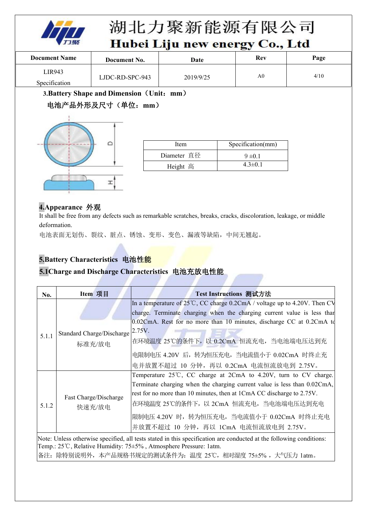

| <b>Document Name</b> | Document No.    | Date      | Rev | Page |
|----------------------|-----------------|-----------|-----|------|
| LIR943               |                 |           | A0  | 4/10 |
| Specification        | LJDC-RD-SPC-943 | 2019/9/25 |     |      |

**3.Battery Shape and Dimension**(**Unit**:**mm**)

### 电池产品外形及尺寸(单位:**mm**)



| Item        | Specification(mm) |
|-------------|-------------------|
| Diameter 直径 | $9 \pm 0.1$       |
| Height 高    | $4.3 \pm 0.1$     |

#### **4.Appearance** 外观

It shall be free from any defects such as remarkable scratches, breaks, cracks, discoloration, leakage, or middle deformation.

电池表面无划伤、裂纹、脏点、锈蚀、变形、变色、漏液等缺陷,中间无翘起。

### **5.Battery Characteristics** 电池性能

#### **5.1Charge and Discharge Characteristics** 电池充放电性能

| No.   | Item 项目                   | Test Instructions 测试方法                                                                                                                                                                  |
|-------|---------------------------|-----------------------------------------------------------------------------------------------------------------------------------------------------------------------------------------|
|       |                           | In a temperature of $25^{\circ}$ C, CC charge 0.2CmA / voltage up to 4.20V. Then CV                                                                                                     |
|       |                           | charge. Terminate charging when the charging current value is less than                                                                                                                 |
|       |                           | $0.02$ CmA. Rest for no more than 10 minutes, discharge CC at 0.2CmA to                                                                                                                 |
| 5.1.1 | Standard Charge/Discharge | 2.75V.                                                                                                                                                                                  |
|       | 标准充/放电                    | 在环境温度 25℃的条件下, 以 0.2CmA 恒流充电, 当电池端电压达到充                                                                                                                                                 |
|       |                           | 电限制电压 4.20V 后, 转为恒压充电, 当电流值小于 0.02CmA 时终止充                                                                                                                                              |
|       |                           | 电并放置不超过 10 分钟, 再以 0.2CmA 电流恒流放电到 2.75V。                                                                                                                                                 |
|       |                           | Temperature $25^{\circ}$ C, CC charge at 2CmA to 4.20V, turn to CV charge.                                                                                                              |
|       |                           | Terminate charging when the charging current value is less than 0.02CmA,                                                                                                                |
|       | Fast Charge/Discharge     | rest for no more than 10 minutes, then at 1CmA CC discharge to 2.75V.                                                                                                                   |
| 5.1.2 | 快速充/放电                    | 在环境温度 25℃的条件下,以 2CmA 恒流充电,当电池端电压达到充电                                                                                                                                                    |
|       |                           | 限制电压 4.20V 时,转为恒压充电,当电流值小于 0.02CmA 时终止充电                                                                                                                                                |
|       |                           | 并放置不超过 10 分钟, 再以 1CmA 电流恒流放电到 2.75V。                                                                                                                                                    |
|       |                           | Note: Unless otherwise specified, all tests stated in this specification are conducted at the following conditions:<br>Temp.: 25℃, Relative Humidity: 75±5%, Atmosphere Pressure: 1atm. |

备注: 除特别说明外,本产品规格书规定的测试条件为: 温度 25℃, 相对湿度 75±5%, 大气压力 1atm。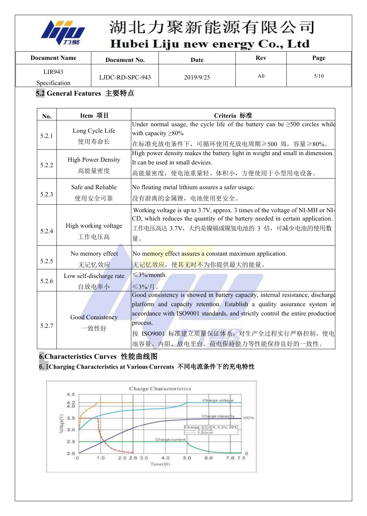

| 이동하는 시간을 나타내어 들어갈 것인데 오후 부부 일이라는<br>.<br>$-1$<br><u> DAS ANG MARATING PANGANG PANG</u> |                 |             |                |      |  |
|----------------------------------------------------------------------------------------|-----------------|-------------|----------------|------|--|
| <b>Document Name</b>                                                                   | Document No.    | <b>Date</b> | Rev            | Page |  |
| LIR943                                                                                 |                 |             | A <sub>0</sub> | 5/10 |  |
| Specification                                                                          | LJDC-RD-SPC-943 | 2019/9/25   |                |      |  |

### **5.2 General Features** 主要特点

| No.   | Item 项目                                                                                               | Criteria 标准                                                                                                                                                                                                                                                                                                                         |  |  |
|-------|-------------------------------------------------------------------------------------------------------|-------------------------------------------------------------------------------------------------------------------------------------------------------------------------------------------------------------------------------------------------------------------------------------------------------------------------------------|--|--|
| 5.2.1 | Long Cycle Life<br>使用寿命长                                                                              | Under normal usage, the cycle life of the battery can be $\geq 500$ circles while<br>with capacity $\geq 80\%$<br>在标准充放电条件下,可循环使用充放电周期≥500周,容量≥80%。                                                                                                                                                                                 |  |  |
| 5.2.2 | <b>High Power Density</b><br>高能量密度                                                                    | High power density makes the battery light in weight and small in dimension.<br>It can be used in small devices.<br>高能量密度, 使电池重量轻、体积小, 方便使用于小型用电设备。                                                                                                                                                                                 |  |  |
| 5.2.3 | Safe and Reliable<br>No floating metal lithium assures a safer usage.<br>没有游离的金属锂, 电池使用更安全。<br>使用安全可靠 |                                                                                                                                                                                                                                                                                                                                     |  |  |
| 5.2.4 | High working voltage<br>工作电压高                                                                         | Working voltage is up to 3.7V, approx. 3 times of the voltage of NI-MH or NI-<br>CD, which reduces the quantity of the battery needed in certain application.<br>工作电压高达 3.7V, 大约是镍镉或镍氢电池的 3 倍, 可减少电池的使用数<br>量。                                                                                                                      |  |  |
| 5.2.5 | No memory effect<br>无记忆效应                                                                             | No memory effect assures a constant maximum application.<br>无记忆效应, 使其无时不为你提供最大的能量。                                                                                                                                                                                                                                                  |  |  |
| 5.2.6 | Low self-discharge rate<br>自放电率小                                                                      | $\leq$ 3%/month.<br>$\leq$ 3%/月。                                                                                                                                                                                                                                                                                                    |  |  |
| 5.2.7 | <b>Good Consistency</b><br>一致性好                                                                       | Good consistency is showed in battery capacity, internal resistance, discharge<br>platform and capacity retention. Establish a quality assurance system in<br>accordance with ISO9001 standards, and strictly control the entire production<br>process.<br>按 ISO9001 标准建立质量保证体系, 对生产全过程实行严格控制, 使电<br>池容量、内阻、放电平台、荷电保持能力等性能保持良好的一致性。 |  |  |

## **6.Characteristics Curves** 性能曲线图

#### 6.1**Charging Characteristics atVarious Currents** 不同电流条件下的充电特性

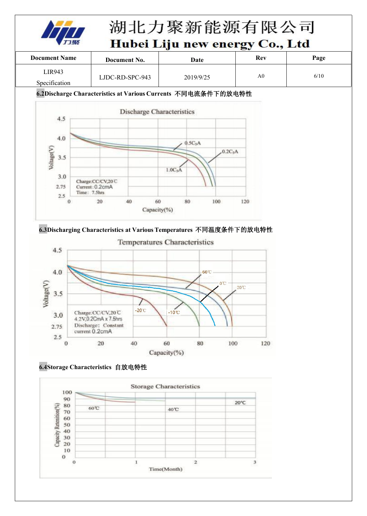

| .<br>$\sim$          |                 |           |     |      |  |
|----------------------|-----------------|-----------|-----|------|--|
| <b>Document Name</b> | Document No.    | Date      | Rev | Page |  |
| LIR943               |                 |           | A0  | 6/10 |  |
| Specification        | LJDC-RD-SPC-943 | 2019/9/25 |     |      |  |

#### **6.2Discharge Characteristics atVarious Currents** 不同电流条件下的放电特性



**6.3Discharging Characteristics atVarious Temperatures** 不同温度条件下的放电特性



#### **6.4Storage Characteristics** 自放电特性

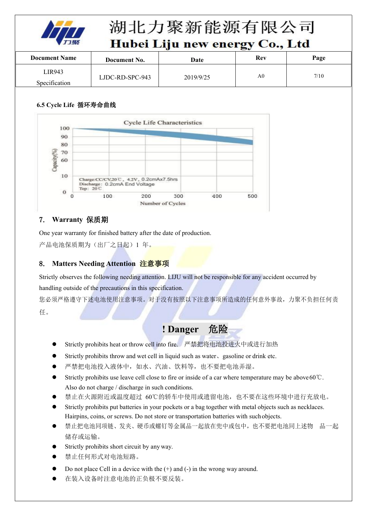

# 湖北力聚新能源有限公司

## Hubei Liju new energy Co., Ltd

| <b>Document Name</b> | Document No.    | Date      | Rev            | Page |  |
|----------------------|-----------------|-----------|----------------|------|--|
| LIR943               |                 |           | A <sub>0</sub> | 7/10 |  |
| Specification        | LJDC-RD-SPC-943 | 2019/9/25 |                |      |  |

#### **6.5 Cycle Life** 循环寿命曲线



#### 7. **Warranty** 保质期

One year warranty for finished battery after the date of production.

产品电池保质期为(出厂之日起)1 年。

#### 8. **Matters Needing Attention** 注意事项

Strictly observes the following needing attention. LIJU will not be responsible for any accident occurred by handling outside of the precautions in this specification.

您必须严格遵守下述电池使用注意事项。对于没有按照以下注意事项所造成的任何意外事故,力聚不负担任何责 任。

# **! Danger** 危险

- Strictly prohibits heat or throw cell into fire. 严禁把将电池投进火中或进行加热
- Strictly prohibits throw and wet cell in liquid such as water、gasoline or drink etc.
- 严禁把电池投入液体中,如水、汽油、饮料等,也不要把电池弄湿。
- Strictly prohibits use leave cell close to fire or inside of a car where temperature may be above60℃. Also do not charge / discharge in such conditions.
- 禁止在火源附近或温度超过 60℃的轿车中使用或遗留电池,也不要在这些环境中进行充放电。
- Strictly prohibits put batteries in your pockets ora bag together with metal objects such as necklaces. Hairpins, coins, or screws. Do not store or transportation batteries with suchobjects.
- 禁止把电池同项链、发夹、硬币或螺钉等金属品一起放在兜中或包中,也不要把电池同上述物 品一起 储存或运输。
- Strictly prohibits short circuit by any way.
- 禁止任何形式对电池短路。
- Do not place Cell in a device with the (+) and (-) in the wrong way around.
- 在装入设备时注意电池的正负极不要反装。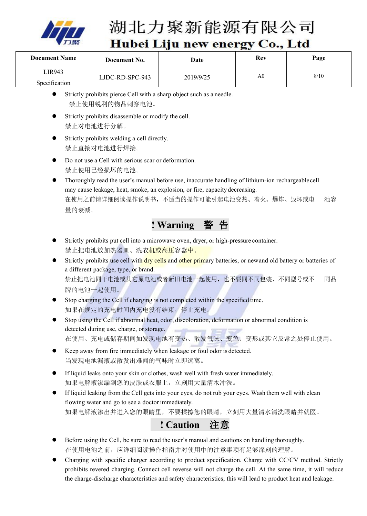

| <b>Document Name</b> | Date<br>Document No. |           | Rev            | Page |  |
|----------------------|----------------------|-----------|----------------|------|--|
| LIR943               |                      |           | A <sub>0</sub> | 8/10 |  |
| Specification        | LJDC-RD-SPC-943      | 2019/9/25 |                |      |  |

- Strictly prohibits pierce Cell with a sharp object such as a needle. 禁止使用锐利的物品刺穿电池。
- Strictly prohibits disassemble or modify the cell. 禁止对电池进行分解。
- Strictly prohibits welding a cell directly. 禁止直接对电池进行焊接。
- Do not use a Cell with serious scar or deformation. 禁止使用已经损坏的电池。
- Thoroughly read the user's manual before use, inaccurate handling of lithium-ion rechargeablecell may cause leakage, heat, smoke, an explosion, or fire, capacity decreasing. 在使用之前请详细阅读操作说明书,不适当的操作可能引起电池变热、着火、爆炸、毁坏或电 池容 量的衰减。



- Strictly prohibits put cell into a microwave oven, dryer, or high-pressure container. 禁止把电池放加热器皿、洗衣机或高压容器中。
- Strictly prohibits use cell with dry cells and other primary batteries, or newand old battery or batteries of a different package, type, or brand. 禁止把电池同干电池或其它原电池或者新旧电池一起使用,也不要同不同包装、不同型号或不 同品 牌的电池一起使用。
- Stop charging the Cell if charging is not completed within the specified time. 如果在规定的充电时间内充电没有结束,停止充电。
- Stop using the Cell if abnormal heat, odor, discoloration, deformation or abnormal condition is detected during use, charge, or storage. 在使用、充电或储存期间如发现电池有变热、散发气味、变色、变形或其它反常之处停止使用。
- Keep away from fire immediately when leakage or foul odor is detected. 当发现电池漏液或散发出难闻的气味时立即远离。
- If liquid leaks onto your skin or clothes, wash well with fresh water immediately. 如果电解液渗漏到您的皮肤或衣服上,立刻用大量清水冲洗。
- If liquid leaking from the Cell gets into your eyes, do not rub your eyes. Wash them well with clean flowing water and go to see a doctor immediately. 如果电解液渗出并进入您的眼睛里,不要揉擦您的眼睛,立刻用大量清水清洗眼睛并就医。

# **! Caution** 注意

- Before using the Cell, be sure to read the user's manual and cautions on handling thoroughly. 在使用电池之前,应详细阅读操作指南并对使用中的注意事项有足够深刻的理解。
- Charging with specific charger according to product specification. Charge with CC/CV method. Strictly prohibits revered charging. Connect cell reverse will not charge the cell. At the same time, it will reduce the charge-discharge characteristics and safety characteristics; this will lead to product heat and leakage.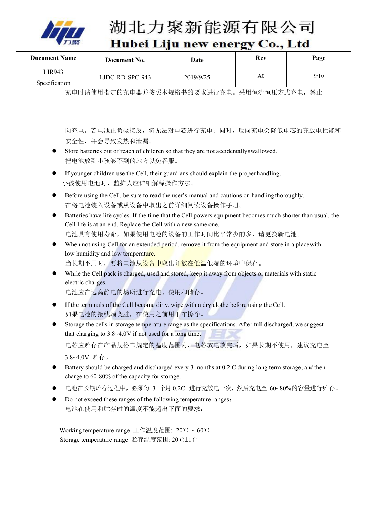

### 湖北力聚新能源有限公司  $\sqrt{1 + a}$ Hubei Liiu new ener

|                                                                                                                 |                                                                                                                                                                                                                                                                                                                                                                                                                                                                                                                                                                                                                                                                                                                                                                                                                                                                                                                                                                                                                                                                                                                                                                                                                                                                                                                                                                                                                                                                                                                                                                                                                                      |           | Huber Liju new energy Co., Ltd |      |
|-----------------------------------------------------------------------------------------------------------------|--------------------------------------------------------------------------------------------------------------------------------------------------------------------------------------------------------------------------------------------------------------------------------------------------------------------------------------------------------------------------------------------------------------------------------------------------------------------------------------------------------------------------------------------------------------------------------------------------------------------------------------------------------------------------------------------------------------------------------------------------------------------------------------------------------------------------------------------------------------------------------------------------------------------------------------------------------------------------------------------------------------------------------------------------------------------------------------------------------------------------------------------------------------------------------------------------------------------------------------------------------------------------------------------------------------------------------------------------------------------------------------------------------------------------------------------------------------------------------------------------------------------------------------------------------------------------------------------------------------------------------------|-----------|--------------------------------|------|
| <b>Document Name</b>                                                                                            | Document No.                                                                                                                                                                                                                                                                                                                                                                                                                                                                                                                                                                                                                                                                                                                                                                                                                                                                                                                                                                                                                                                                                                                                                                                                                                                                                                                                                                                                                                                                                                                                                                                                                         | Date      | <b>Rev</b>                     | Page |
| LIR943<br>Specification                                                                                         | LJDC-RD-SPC-943                                                                                                                                                                                                                                                                                                                                                                                                                                                                                                                                                                                                                                                                                                                                                                                                                                                                                                                                                                                                                                                                                                                                                                                                                                                                                                                                                                                                                                                                                                                                                                                                                      | 2019/9/25 | A <sub>0</sub>                 | 9/10 |
|                                                                                                                 | 充电时请使用指定的充电器并按照本规格书的要求进行充电。采用恒流恒压方式充电, 禁止                                                                                                                                                                                                                                                                                                                                                                                                                                                                                                                                                                                                                                                                                                                                                                                                                                                                                                                                                                                                                                                                                                                                                                                                                                                                                                                                                                                                                                                                                                                                                                                            |           |                                |      |
| $\bullet$<br>$\bullet$<br>$\bullet$<br>$\bullet$<br>electric charges.<br>3.8~4.0V 贮存。<br>电池在使用和贮存时的温度不能超出下面的要求: | 向充电。若电池正负极接反, 将无法对电芯进行充电; 同时, 反向充电会降低电芯的充放电性能和<br>安全性,并会导致发热和泄漏。<br>Store batteries out of reach of children so that they are not accidentally swallowed.<br>把电池放到小孩够不到的地方以免吞服。<br>If younger children use the Cell, their guardians should explain the proper handling.<br>小孩使用电池时, 监护人应详细解释操作方法。<br>Before using the Cell, be sure to read the user's manual and cautions on handling thoroughly.<br>在将电池装入设备或从设备中取出之前详细阅读设备操作手册。<br>Batteries have life cycles. If the time that the Cell powers equipment becomes much shorter than usual, the<br>Cell life is at an end. Replace the Cell with a new same one.<br>电池具有使用寿命, 如果使用电池的设备的工作时间比平常少的多, 请更换新电池。<br>When not using Cell for an extended period, remove it from the equipment and store in a place with<br>low humidity and low temperature.<br>当长期不用时, 要将电池从 <mark>设备中取出并放在低温</mark> 低湿的环境中保存。<br>While the Cell pack is charged, used and stored, keep it away from objects or materials with static<br>电池应在远离静电的场所进行充电、使用和储存。<br>If the terminals of the Cell become dirty, wipe with a dry clothe before using the Cell.<br>如果电池的接线端变脏, 在使用之前用干布擦净。<br>Storage the cells in storage temperature range as the specifications. After full discharged, we suggest<br>that charging to $3.8 \sim 4.0V$ if not used for a long time.<br>电芯应贮存在产品规格书规定的温度范围内, 电芯放电放完后, 如果长期不使用, 建议充电至<br>Battery should be charged and discharged every 3 months at 0.2 C during long term storage, and then<br>charge to 60-80% of the capacity for storage.<br>电池在长期贮存过程中,必须每 3 个月 0.2C 进行充放电一次,然后充电至 60~80%的容量进行贮存。<br>Do not exceed these ranges of the following temperature ranges: |           |                                |      |

Storage temperature range 贮存温度范围: 20℃±1℃